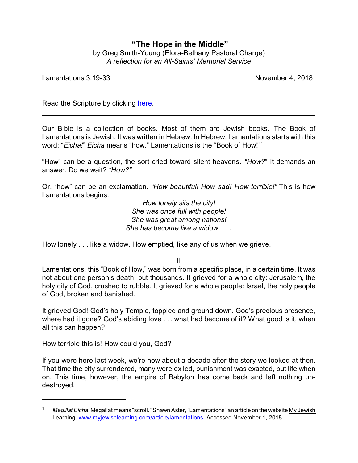## **"The Hope in the Middle"** by Greg Smith-Young (Elora-Bethany Pastoral Charge) *A reflection for an All-Saints' Memorial Service*

Lamentations 3:19-33 November 4, 2018

Read the Scripture by clicking [here](https://www.biblegateway.com/passage/?search=Lamentations+3%3A19-33&version=CEB).

Our Bible is a collection of books. Most of them are Jewish books. The Book of Lamentations is Jewish. It was written in Hebrew. In Hebrew, Lamentations starts with this word: "*Eicha!*" *Eicha* means "how." Lamentations is the "Book of How!" 1

"How" can be a question, the sort cried toward silent heavens. *"How?*" It demands an answer. Do we wait? *"How?"*

Or, "how" can be an exclamation. *"How beautiful! How sad! How terrible!"* This is how Lamentations begins.

> *How lonely sits the city! She was once full with people! She was great among nations! She has become like a widow. . . .*

How lonely . . . like a widow. How emptied, like any of us when we grieve.

II

Lamentations, this "Book of How," was born from a specific place, in a certain time. It was not about one person's death, but thousands. It grieved for a whole city: Jerusalem, the holy city of God, crushed to rubble. It grieved for a whole people: Israel, the holy people of God, broken and banished.

It grieved God! God's holy Temple, toppled and ground down. God's precious presence, where had it gone? God's abiding love . . . what had become of it? What good is it, when all this can happen?

How terrible this is! How could you, God?

If you were here last week, we're now about a decade after the story we looked at then. That time the city surrendered, many were exiled, punishment was exacted, but life when on. This time, however, the empire of Babylon has come back and left nothing undestroyed.

<sup>1</sup> *Megillat Eicha*. Megallat means "scroll." Shawn Aster, "Lamentations" an article on the website My Jewish Learning. [www.myjewishlearning.com/article/lamentations](https://www.myjewishlearning.com/article/lamentations/). Accessed November 1, 2018.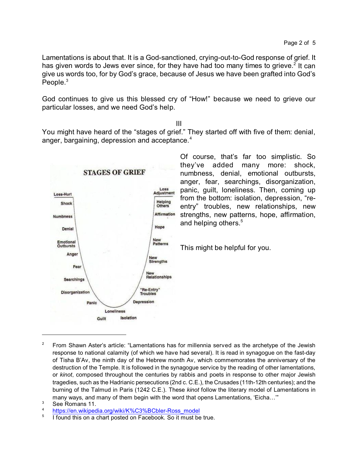Lamentations is about that. It is a God-sanctioned, crying-out-to-God response of grief. It has given words to Jews ever since, for they have had too many times to grieve.<sup>2</sup> It can give us words too, for by God's grace, because of Jesus we have been grafted into God's People. $3$ 

God continues to give us this blessed cry of "How!" because we need to grieve our particular losses, and we need God's help.

III

You might have heard of the "stages of grief." They started off with five of them: denial, anger, bargaining, depression and acceptance. $4$ 



Of course, that's far too simplistic. So they've added many more: shock, numbness, denial, emotional outbursts, anger, fear, searchings, disorganization, panic, guilt, loneliness. Then, coming up from the bottom: isolation, depression, "reentry" troubles, new relationships, new strengths, new patterns, hope, affirmation, and helping others.<sup>5</sup>

This might be helpful for you.

<sup>&</sup>lt;sup>2</sup> From Shawn Aster's article: "Lamentations has for millennia served as the archetype of the Jewish response to national calamity (of which we have had several). It is read in synagogue on the fast-day of Tisha B'Av, the ninth day of the Hebrew month Av, which commemorates the anniversary of the destruction of the Temple. It is followed in the synagogue service by the reading of other lamentations, or *kinot*, composed throughout the centuries by rabbis and poets in response to other major Jewish tragedies, such as the Hadrianic persecutions (2nd c. C.E.), the Crusades (11th-12th centuries); and the burning of the Talmud in Paris (1242 C.E.). These *kinot* follow the literary model of Lamentations in many ways, and many of them begin with the word that opens Lamentations, 'Eicha…'"

 $3$  See Romans 11.

[https://en.wikipedia.org/wiki/K%C3%BCbler-Ross\\_model](https://en.wikipedia.org/wiki/K%C3%BCbler-Ross_model)

<sup>5</sup> I found this on a chart posted on Facebook. So it must be true.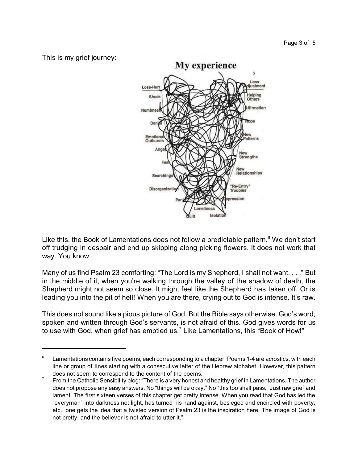

Like this, the Book of Lamentations does not follow a predictable pattern.<sup>6</sup> We don't start off trudging in despair and end up skipping along picking flowers. It does not work that way. You know.

Many of us find Psalm 23 comforting: "The Lord is my Shepherd, I shall not want. . . ." But in the middle of it, when you're walking through the valley of the shadow of death, the Shepherd might not seem so close. It might feel like the Shepherd has taken off. Or is leading you into the pit of hell! When you are there, crying out to God is intense. It's raw.

This does not sound like a pious picture of God. But the Bible says otherwise. God's word, spoken and written through God's servants, is not afraid of this. God gives words for us to use with God, when grief has emptied us.<sup>7</sup> Like Lamentations, this "Book of How!"

 $6$  Lamentations contains five poems, each corresponding to a chapter. Poems 1-4 are acrostics, with each line or group of lines starting with a consecutive letter of the Hebrew alphabet. However, this pattern does not seem to correspond to the content of the poems.

From the Catholic Sensibility blog: "There is a very honest and healthy grief in Lamentations. The author does not propose any easy answers. No "things will be okay." No "this too shall pass." Just raw grief and lament. The first sixteen verses of this chapter get pretty intense. When you read that God has led the "everyman" into darkness not light, has turned his hand against, besieged and encircled with poverty, etc., one gets the idea that a twisted version of Psalm 23 is the inspiration here. The image of God is not pretty, and the believer is not afraid to utter it."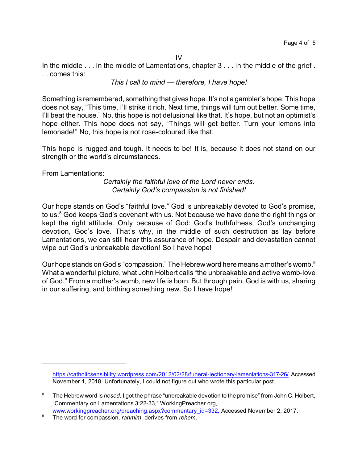IV

In the middle . . . in the middle of Lamentations, chapter 3 . . . in the middle of the grief . . . comes this:

*This I call to mind — therefore, I have hope!*

Something is remembered, something that gives hope. It's not a gambler's hope. This hope does not say, "This time, I'll strike it rich. Next time, things will turn out better. Some time, I'll beat the house." No, this hope is not delusional like that. It's hope, but not an optimist's hope either. This hope does not say, "Things will get better. Turn your lemons into lemonade!" No, this hope is not rose-coloured like that.

This hope is rugged and tough. It needs to be! It is, because it does not stand on our strength or the world's circumstances.

From Lamentations:

*Certainly the faithful love of the Lord never ends. Certainly God's compassion is not finished!*

Our hope stands on God's "faithful love." God is unbreakably devoted to God's promise, to us.<sup>8</sup> God keeps God's covenant with us. Not because we have done the right things or kept the right attitude. Only because of God: God's truthfulness, God's unchanging devotion, God's love. That's why, in the middle of such destruction as lay before Lamentations, we can still hear this assurance of hope. Despair and devastation cannot wipe out God's unbreakable devotion! So I have hope!

Our hope stands on God's "compassion." The Hebrewword here means a mother's womb.<sup>9</sup> What a wonderful picture, what John Holbert calls "the unbreakable and active womb-love of God." From a mother's womb, new life is born. But through pain. God is with us, sharing in our suffering, and birthing something new. So I have hope!

<https://catholicsensibility.wordpress.com/2012/02/28/funeral-lectionary-lamentations-317-26/>. Accessed November 1, 2018. Unfortunately, I could not figure out who wrote this particular post.

<sup>8</sup> The Hebrew word is *hesed*. I got the phrase "unbreakable devotion to the promise" from John C. Holbert, "Commentary on Lamentations 3:22-33," WorkingPreacher.org,

[www.workingpreacher.org/preaching.aspx?commentary\\_id=332,](http://www.workingpreacher.org/preaching.aspx?commentary_id=332)) Accessed November 2, 2017.

<sup>9</sup> The word for compassion, *rahmim*, derives from *rehem*.